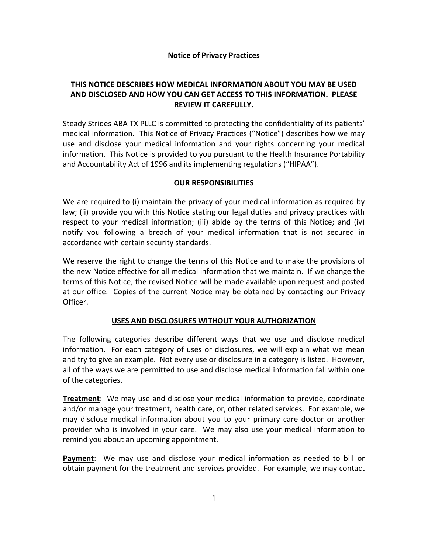# **Notice of Privacy Practices**

# **THIS NOTICE DESCRIBES HOW MEDICAL INFORMATION ABOUT YOU MAY BE USED AND DISCLOSED AND HOW YOU CAN GET ACCESS TO THIS INFORMATION. PLEASE REVIEW IT CAREFULLY.**

Steady Strides ABA TX PLLC is committed to protecting the confidentiality of its patients' medical information. This Notice of Privacy Practices ("Notice") describes how we may use and disclose your medical information and your rights concerning your medical information. This Notice is provided to you pursuant to the Health Insurance Portability and Accountability Act of 1996 and its implementing regulations ("HIPAA").

# **OUR RESPONSIBILITIES**

We are required to (i) maintain the privacy of your medical information as required by law; (ii) provide you with this Notice stating our legal duties and privacy practices with respect to your medical information; (iii) abide by the terms of this Notice; and (iv) notify you following a breach of your medical information that is not secured in accordance with certain security standards.

We reserve the right to change the terms of this Notice and to make the provisions of the new Notice effective for all medical information that we maintain. If we change the terms of this Notice, the revised Notice will be made available upon request and posted at our office. Copies of the current Notice may be obtained by contacting our Privacy Officer.

# **USES AND DISCLOSURES WITHOUT YOUR AUTHORIZATION**

The following categories describe different ways that we use and disclose medical information. For each category of uses or disclosures, we will explain what we mean and try to give an example. Not every use or disclosure in a category is listed. However, all of the ways we are permitted to use and disclose medical information fall within one of the categories.

**Treatment**: We may use and disclose your medical information to provide, coordinate and/or manage your treatment, health care, or, other related services. For example, we may disclose medical information about you to your primary care doctor or another provider who is involved in your care. We may also use your medical information to remind you about an upcoming appointment.

**Payment**: We may use and disclose your medical information as needed to bill or obtain payment for the treatment and services provided. For example, we may contact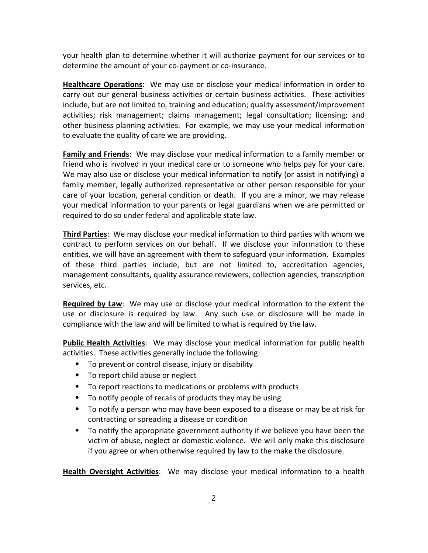your health plan to determine whether it will authorize payment for our services or to determine the amount of your co‐payment or co‐insurance.

**Healthcare Operations**: We may use or disclose your medical information in order to carry out our general business activities or certain business activities. These activities include, but are not limited to, training and education; quality assessment/improvement activities; risk management; claims management; legal consultation; licensing; and other business planning activities. For example, we may use your medical information to evaluate the quality of care we are providing.

**Family and Friends**: We may disclose your medical information to a family member or friend who is involved in your medical care or to someone who helps pay for your care. We may also use or disclose your medical information to notify (or assist in notifying) a family member, legally authorized representative or other person responsible for your care of your location, general condition or death. If you are a minor, we may release your medical information to your parents or legal guardians when we are permitted or required to do so under federal and applicable state law.

**Third Parties**: We may disclose your medical information to third parties with whom we contract to perform services on our behalf. If we disclose your information to these entities, we will have an agreement with them to safeguard your information. Examples of these third parties include, but are not limited to, accreditation agencies, management consultants, quality assurance reviewers, collection agencies, transcription services, etc.

**Required by Law**: We may use or disclose your medical information to the extent the use or disclosure is required by law. Any such use or disclosure will be made in compliance with the law and will be limited to what is required by the law.

**Public Health Activities**:We may disclose your medical information for public health activities. These activities generally include the following:

- ⦁ To prevent or control disease, injury or disability
- ⦁ To report child abuse or neglect
- ⦁ To report reactions to medications or problems with products
- ⦁ To notify people of recalls of products they may be using
- ⦁ To notify a person who may have been exposed to a disease or may be at risk for contracting or spreading a disease or condition
- ⦁ To notify the appropriate government authority if we believe you have been the victim of abuse, neglect or domestic violence. We will only make this disclosure if you agree or when otherwise required by law to the make the disclosure.

**Health Oversight Activities**: We may disclose your medical information to a health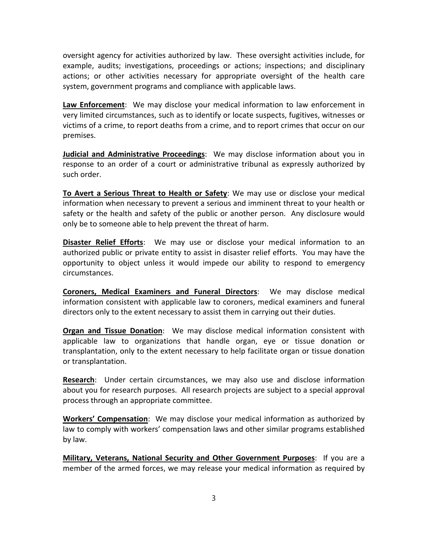oversight agency for activities authorized by law. These oversight activities include, for example, audits; investigations, proceedings or actions; inspections; and disciplinary actions; or other activities necessary for appropriate oversight of the health care system, government programs and compliance with applicable laws.

**Law Enforcement**: We may disclose your medical information to law enforcement in very limited circumstances, such as to identify or locate suspects, fugitives, witnesses or victims of a crime, to report deaths from a crime, and to report crimes that occur on our premises.

**Judicial and Administrative Proceedings**: We may disclose information about you in response to an order of a court or administrative tribunal as expressly authorized by such order.

**To Avert a Serious Threat to Health or Safety**: We may use or disclose your medical information when necessary to prevent a serious and imminent threat to your health or safety or the health and safety of the public or another person. Any disclosure would only be to someone able to help prevent the threat of harm.

**Disaster Relief Efforts**: We may use or disclose your medical information to an authorized public or private entity to assist in disaster relief efforts. You may have the opportunity to object unless it would impede our ability to respond to emergency circumstances.

**Coroners, Medical Examiners and Funeral Directors**: We may disclose medical information consistent with applicable law to coroners, medical examiners and funeral directors only to the extent necessary to assist them in carrying out their duties.

**Organ and Tissue Donation**: We may disclose medical information consistent with applicable law to organizations that handle organ, eye or tissue donation or transplantation, only to the extent necessary to help facilitate organ or tissue donation or transplantation.

**Research**: Under certain circumstances, we may also use and disclose information about you for research purposes. All research projects are subject to a special approval process through an appropriate committee.

**Workers' Compensation**: We may disclose your medical information as authorized by law to comply with workers' compensation laws and other similar programs established by law.

**Military, Veterans, National Security and Other Government Purposes**: If you are a member of the armed forces, we may release your medical information as required by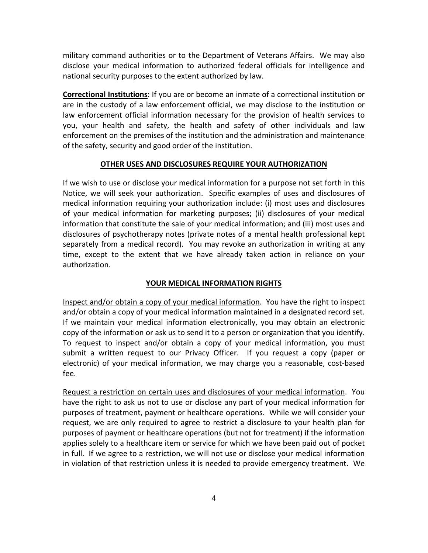military command authorities or to the Department of Veterans Affairs. We may also disclose your medical information to authorized federal officials for intelligence and national security purposes to the extent authorized by law.

**Correctional Institutions**: If you are or become an inmate of a correctional institution or are in the custody of a law enforcement official, we may disclose to the institution or law enforcement official information necessary for the provision of health services to you, your health and safety, the health and safety of other individuals and law enforcement on the premises of the institution and the administration and maintenance of the safety, security and good order of the institution.

## **OTHER USES AND DISCLOSURES REQUIRE YOUR AUTHORIZATION**

If we wish to use or disclose your medical information for a purpose not set forth in this Notice, we will seek your authorization. Specific examples of uses and disclosures of medical information requiring your authorization include: (i) most uses and disclosures of your medical information for marketing purposes; (ii) disclosures of your medical information that constitute the sale of your medical information; and (iii) most uses and disclosures of psychotherapy notes (private notes of a mental health professional kept separately from a medical record). You may revoke an authorization in writing at any time, except to the extent that we have already taken action in reliance on your authorization.

# **YOUR MEDICAL INFORMATION RIGHTS**

Inspect and/or obtain a copy of your medical information. You have the right to inspect and/or obtain a copy of your medical information maintained in a designated record set. If we maintain your medical information electronically, you may obtain an electronic copy of the information or ask us to send it to a person or organization that you identify. To request to inspect and/or obtain a copy of your medical information, you must submit a written request to our Privacy Officer. If you request a copy (paper or electronic) of your medical information, we may charge you a reasonable, cost‐based fee.

Request a restriction on certain uses and disclosures of your medical information. You have the right to ask us not to use or disclose any part of your medical information for purposes of treatment, payment or healthcare operations. While we will consider your request, we are only required to agree to restrict a disclosure to your health plan for purposes of payment or healthcare operations (but not for treatment) if the information applies solely to a healthcare item or service for which we have been paid out of pocket in full. If we agree to a restriction, we will not use or disclose your medical information in violation of that restriction unless it is needed to provide emergency treatment. We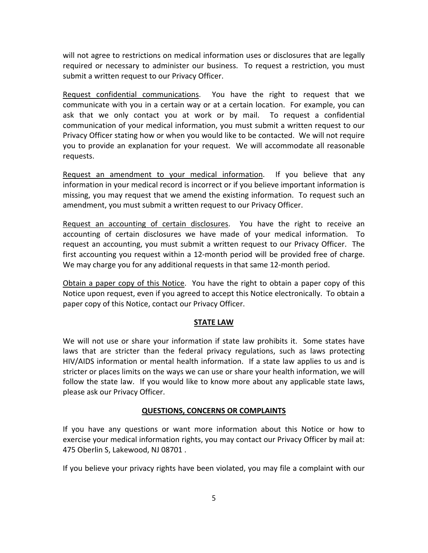will not agree to restrictions on medical information uses or disclosures that are legally required or necessary to administer our business. To request a restriction, you must submit a written request to our Privacy Officer.

Request confidential communications. You have the right to request that we communicate with you in a certain way or at a certain location. For example, you can ask that we only contact you at work or by mail. To request a confidential communication of your medical information, you must submit a written request to our Privacy Officer stating how or when you would like to be contacted. We will not require you to provide an explanation for your request. We will accommodate all reasonable requests.

Request an amendment to your medical information. If you believe that any information in your medical record is incorrect or if you believe important information is missing, you may request that we amend the existing information. To request such an amendment, you must submit a written request to our Privacy Officer.

Request an accounting of certain disclosures. You have the right to receive an accounting of certain disclosures we have made of your medical information. To request an accounting, you must submit a written request to our Privacy Officer. The first accounting you request within a 12‐month period will be provided free of charge. We may charge you for any additional requests in that same 12-month period.

Obtain a paper copy of this Notice. You have the right to obtain a paper copy of this Notice upon request, even if you agreed to accept this Notice electronically. To obtain a paper copy of this Notice, contact our Privacy Officer.

### **STATE LAW**

We will not use or share your information if state law prohibits it. Some states have laws that are stricter than the federal privacy regulations, such as laws protecting HIV/AIDS information or mental health information. If a state law applies to us and is stricter or places limits on the ways we can use or share your health information, we will follow the state law. If you would like to know more about any applicable state laws, please ask our Privacy Officer.

### **QUESTIONS, CONCERNS OR COMPLAINTS**

If you have any questions or want more information about this Notice or how to exercise your medical information rights, you may contact our Privacy Officer by mail at: 475 Oberlin S, Lakewood, NJ 08701 .

If you believe your privacy rights have been violated, you may file a complaint with our